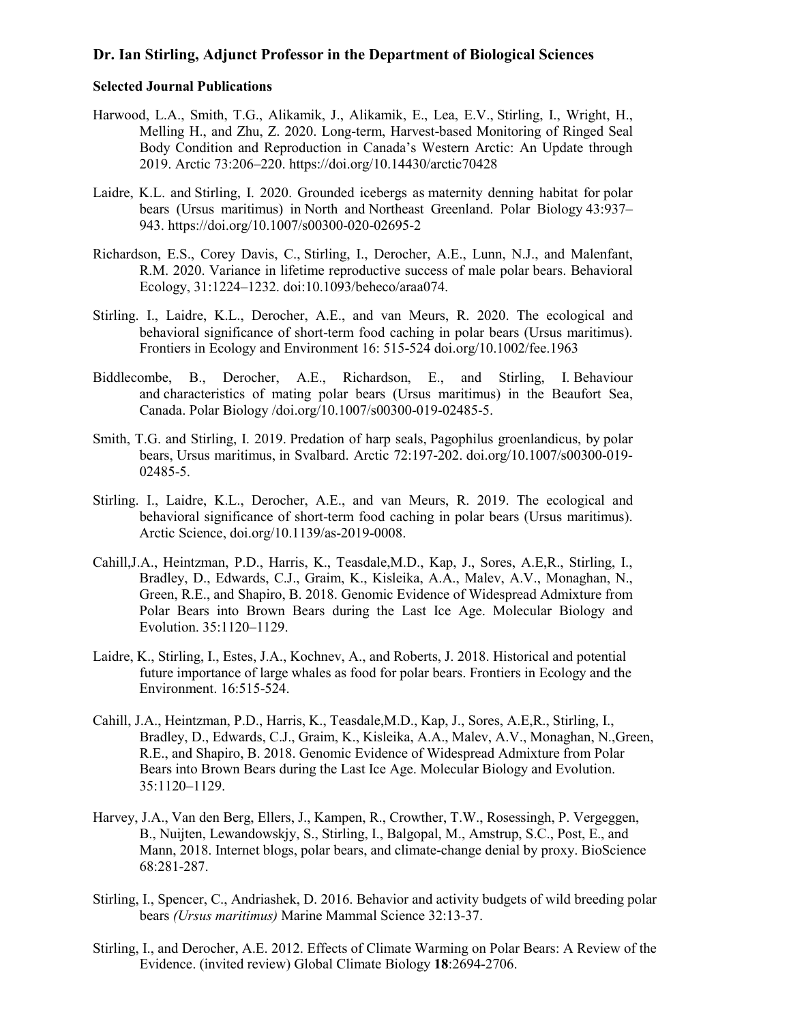## **Dr. Ian Stirling, Adjunct Professor in the Department of Biological Sciences**

## **Selected Journal Publications**

- Harwood, L.A., Smith, T.G., Alikamik, J., Alikamik, E., Lea, E.V., Stirling, I., Wright, H., Melling H., and Zhu, Z. 2020. Long-term, Harvest-based Monitoring of Ringed Seal Body Condition and Reproduction in Canada's Western Arctic: An Update through 2019. Arctic 73:206–220. <https://doi.org/10.14430/arctic70428>
- Laidre, K.L. and Stirling, I. 2020. Grounded icebergs as maternity denning habitat for polar bears (Ursus maritimus) in North and Northeast Greenland. Polar Biology 43:937– 943. <https://doi.org/10.1007/s00300-020-02695-2>
- Richardson, E.S., Corey Davis, C., Stirling, I., Derocher, A.E., Lunn, N.J., and Malenfant, R.M. 2020. Variance in lifetime reproductive success of male polar bears. Behavioral Ecology, 31:1224–1232. doi:10.1093/beheco/araa074.
- Stirling. I., Laidre, K.L., Derocher, A.E., and van Meurs, R. 2020. The ecological and behavioral significance of short-term food caching in polar bears (Ursus maritimus). Frontiers in Ecology and Environment 16: 515-524 [doi.org/10.1002/fee.1963](http://doi.org/10.1002/fee.1963)
- Biddlecombe, B., Derocher, A.E., Richardson, E., and Stirling, I. Behaviour and characteristics of mating polar bears (Ursus maritimus) in the Beaufort Sea, Canada. Polar Biology [/doi.org/10.1007/s00300-019-02485-5.](http://doi.org/10.1007/s00300-019-02485-5)
- Smith, T.G. and Stirling, I. 2019. Predation of harp seals, Pagophilus groenlandicus, by polar bears, Ursus maritimus, in Svalbard. Arctic 72:197-202. [doi.org/10.1007/s00300-019-](http://doi.org/10.1007/s00300-019-) 02485-5.
- Stirling. I., Laidre, K.L., Derocher, A.E., and van Meurs, R. 2019. The ecological and behavioral significance of short-term food caching in polar bears (Ursus maritimus). Arctic Science, [doi.org/10.1139/as-2019-0008.](https://doi.org/10.1139/as-2019-0008)
- Cahill,J.A., Heintzman, P.D., Harris, K., Teasdale,M.D., Kap, J., Sores, A.E,R., Stirling, I., Bradley, D., Edwards, C.J., Graim, K., Kisleika, A.A., Malev, A.V., Monaghan, N., Green, R.E., and Shapiro, B. 2018. Genomic Evidence of Widespread Admixture from Polar Bears into Brown Bears during the Last Ice Age. Molecular Biology and Evolution. 35:1120–1129.
- Laidre, K., Stirling, I., Estes, J.A., Kochnev, A., and Roberts, J. 2018. Historical and potential future importance of large whales as food for polar bears. Frontiers in Ecology and the Environment. 16:515-524.
- Cahill, J.A., Heintzman, P.D., Harris, K., Teasdale,M.D., Kap, J., Sores, A.E,R., Stirling, I., Bradley, D., Edwards, C.J., Graim, K., Kisleika, A.A., Malev, A.V., Monaghan, N.,Green, R.E., and Shapiro, B. 2018. Genomic Evidence of Widespread Admixture from Polar Bears into Brown Bears during the Last Ice Age. Molecular Biology and Evolution. 35:1120–1129.
- Harvey, J.A., Van den Berg, Ellers, J., Kampen, R., Crowther, T.W., Rosessingh, P. Vergeggen, B., Nuijten, Lewandowskjy, S., Stirling, I., Balgopal, M., Amstrup, S.C., Post, E., and Mann, 2018. Internet blogs, polar bears, and climate-change denial by proxy. BioScience 68:281-287.
- Stirling, I., Spencer, C., Andriashek, D. 2016. Behavior and activity budgets of wild breeding polar bears *(Ursus maritimus)* Marine Mammal Science 32:13-37.
- Stirling, I., and Derocher, A.E. 2012. Effects of Climate Warming on Polar Bears: A Review of the Evidence. (invited review) Global Climate Biology **18**:2694-2706.